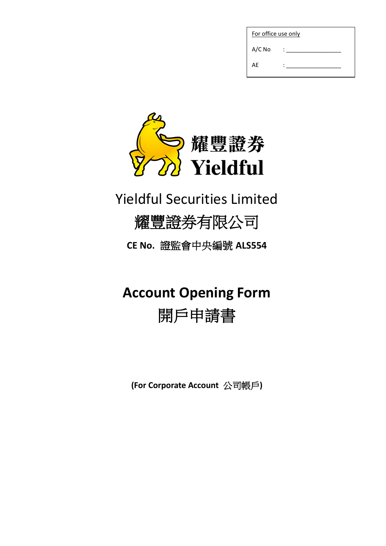| For office use only |  |
|---------------------|--|
| $A/C$ No            |  |
| AE                  |  |



## Yieldful Securities Limited

## 耀豐證券有限公司

**CE No.** 證監會中央編號 **ALS554**

# **Account Opening Form**

## 開戶申請書

**(For Corporate Account** 公司帳戶**)**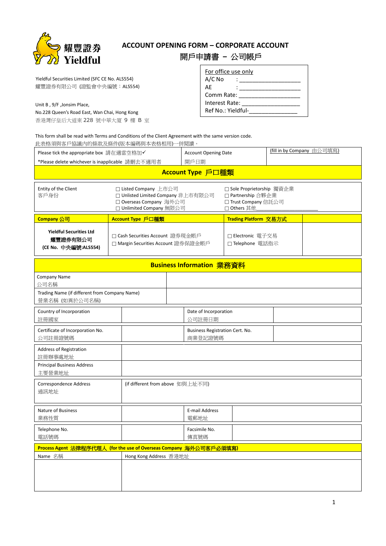

## **ACCOUNT OPENING FORM – CORPORATE ACCOUNT** 開戶申請書 **–** 公司帳戶

 Yieldful Securities Limited (SFC CE No. ALS554) 耀豐證券有限公司 (證監會中央編號:ALS554)

Unit B , 9/F ,Jonsim Place,

No.228 Queen's Road East, Wan Chai, Hong Kong

香港灣仔皇后大道東 228 號中華大廈 9 樓 B 室

| For office use only |  |
|---------------------|--|
| A/C No              |  |
| АF                  |  |
| Comm Rate:          |  |
| Interest Rate:      |  |
| Ref No.: Yieldful-  |  |

This form shall be read with Terms and Conditions of the Client Agreement with the same version code.

| 此表格須與客戶協議內的條款及條件(版本編碼與本表格相用)一併閱讀。                                                                                                             |                                                                                                                    |                   |                                            |                                                                                         |                            |  |
|-----------------------------------------------------------------------------------------------------------------------------------------------|--------------------------------------------------------------------------------------------------------------------|-------------------|--------------------------------------------|-----------------------------------------------------------------------------------------|----------------------------|--|
| Please tick the appropriate box 請在適當空格加✔                                                                                                      |                                                                                                                    |                   | <b>Account Opening Date</b>                |                                                                                         | (fill in by Company 由公司填寫) |  |
| *Please delete whichever is inapplicable 請刪去不適用者                                                                                              |                                                                                                                    | 開戶日期              |                                            |                                                                                         |                            |  |
|                                                                                                                                               |                                                                                                                    | Account Type 戶口種類 |                                            |                                                                                         |                            |  |
| Entity of the Client<br>客戶身份                                                                                                                  | □ Listed Company 上市公司<br>□ Unlisted Limited Company 非上市有限公司<br>□ Overseas Company 海外公司<br>□ Unlimited Company 無限公司 |                   |                                            | □ Sole Proprietorship 獨資企業<br>□ Partnership 合夥企業<br>□ Trust Company 信託公司<br>□ Others 其他 |                            |  |
| Company 公司                                                                                                                                    | Account Type 戶口種類                                                                                                  |                   |                                            | Trading Platform 交易方式                                                                   |                            |  |
| <b>Yieldful Securities Ltd</b><br>□ Cash Securities Account 證券現金帳戶<br>耀豐證券有限公司<br>□ Margin Securities Account 證券保證金帳戶<br>(CE No. 中央編號:ALS554) |                                                                                                                    |                   | □ Electronic 電子交易<br>□ Telephone 電話指示      |                                                                                         |                            |  |
|                                                                                                                                               |                                                                                                                    |                   | Business Information 業務資料                  |                                                                                         |                            |  |
| Company Name<br>公司名稱                                                                                                                          |                                                                                                                    |                   |                                            |                                                                                         |                            |  |
| Trading Name (if different from Company Name)<br>營業名稱 (如異於公司名稱)                                                                               |                                                                                                                    |                   |                                            |                                                                                         |                            |  |
| Country of Incorporation<br>註冊國家                                                                                                              |                                                                                                                    |                   | Date of Incorporation<br>公司註冊日期            |                                                                                         |                            |  |
| Certificate of Incorporation No.<br>公司註冊證號碼                                                                                                   |                                                                                                                    |                   | Business Registration Cert. No.<br>商業登記證號碼 |                                                                                         |                            |  |
| Address of Registration<br>註冊辦事處地址                                                                                                            |                                                                                                                    |                   |                                            |                                                                                         |                            |  |
| <b>Principal Business Address</b><br>主要營業地址                                                                                                   |                                                                                                                    |                   |                                            |                                                                                         |                            |  |
| Correspondence Address<br>通訊地址                                                                                                                | (if different from above 如與上址不同)                                                                                   |                   |                                            |                                                                                         |                            |  |
| Nature of Business<br>業務性質                                                                                                                    |                                                                                                                    |                   | <b>E-mail Address</b><br>電郵地址              |                                                                                         |                            |  |
| Telephone No.<br>電話號碼                                                                                                                         |                                                                                                                    |                   | Facsimile No.<br>傳真號碼                      |                                                                                         |                            |  |
| Process Agent 法律程序代理人 (for the use of Overseas Company 海外公司客戶必須填寫)                                                                            |                                                                                                                    |                   |                                            |                                                                                         |                            |  |
| Name 名稱                                                                                                                                       | Hong Kong Address 香港地址                                                                                             |                   |                                            |                                                                                         |                            |  |
|                                                                                                                                               |                                                                                                                    |                   |                                            |                                                                                         |                            |  |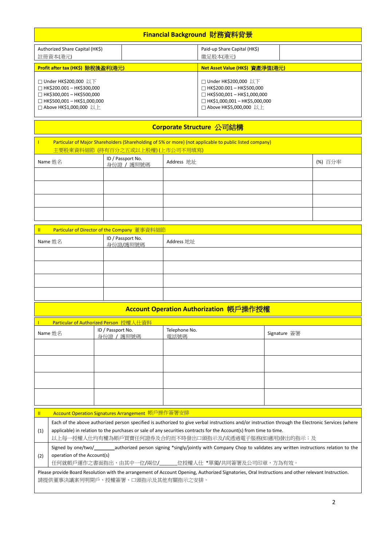| Financial Background 財務資料背景                       |                                      |  |  |
|---------------------------------------------------|--------------------------------------|--|--|
| Authorized Share Capital (HK\$)                   | Paid-up Share Capital (HK\$)         |  |  |
| 註冊資本(港元)                                          | 繳足股本(港元)                             |  |  |
| Profit after tax (HK\$) 除稅後盈利(港元)                 | Net Asset Value (HK\$) 資產淨值(港元)      |  |  |
| $\Box$ Under HK\$200,000 $\mathbb{Q} \mathcal{F}$ | $\Box$ Under HK\$200,000 以下          |  |  |
| $\Box$ HK\$200.001 - HK\$300,000                  | $\Box$ HK\$200.001 - HK\$500,000     |  |  |
| $\Box$ HK\$300,001 - HK\$500,000                  | $\Box$ HK\$500,001 – HK\$1,000,000   |  |  |
| $\Box$ HK\$500,001 - HK\$1,000,000                | $\Box$ HK\$1,000,001 – HK\$5,000,000 |  |  |
| □ Above HK\$1,000,000 以上                          | <b>コ Above HK\$5,000,000  以上</b>     |  |  |

## **Corporate Structure** 公司結構

| Particular of Major Shareholders (Shareholding of 5% or more) (not applicable to public listed company)<br>主要股東資料細節 (持有百分之五或以上股權)(上市公司不用填寫) |                                 |            |         |  |
|---------------------------------------------------------------------------------------------------------------------------------------------|---------------------------------|------------|---------|--|
| Name 姓名                                                                                                                                     | ID / Passport No.<br>身份證 / 護照號碼 | Address 地址 | (%) 百分率 |  |
|                                                                                                                                             |                                 |            |         |  |
|                                                                                                                                             |                                 |            |         |  |
|                                                                                                                                             |                                 |            |         |  |
|                                                                                                                                             |                                 |            |         |  |

| Particular of Director of the Company 董事資料細節<br>$\mathbf{II}$ |                               |            |  |
|---------------------------------------------------------------|-------------------------------|------------|--|
| Name 姓名                                                       | ID / Passport No.<br>身份證/護照號碼 | Address 地址 |  |
|                                                               |                               |            |  |
|                                                               |                               |            |  |
|                                                               |                               |            |  |
|                                                               |                               |            |  |

## **Account Operation Authorization** 帳戶操作授權

| Particular of Authorized Person 授權人仕資料 |                                 |                       |              |  |
|----------------------------------------|---------------------------------|-----------------------|--------------|--|
| Name 姓名                                | ID / Passport No.<br>身份證 / 護照號碼 | Telephone No.<br>電話號碼 | Signature 簽署 |  |
|                                        |                                 |                       |              |  |
|                                        |                                 |                       |              |  |
|                                        |                                 |                       |              |  |
|                                        |                                 |                       |              |  |

|     | Account Operation Signatures Arrangement 帳戶操作簽署安排                                                                                                                                                                                                                                                                                |
|-----|----------------------------------------------------------------------------------------------------------------------------------------------------------------------------------------------------------------------------------------------------------------------------------------------------------------------------------|
| (1) | Each of the above authorized person specified is authorized to give verbal instructions and/or instruction through the Electronic Services (where<br>applicable) in relation to the purchases or sale of any securities contracts for the Account(s) from time to time.<br>以上每一授權人仕均有權為帳戶買賣任何證券及合約而不時發出口頭指示及/或透過電子服務(如適用)發出的指示;及 |
| (2) | Signed by one/two/ authorized person signing *singly/jointly with Company Chop to validates any written instructions relation to the<br>operation of the Account(s)<br>任何就帳戶運作之書面指出,由其中一位/兩位/______位授權人仕 *單獨/共同簽署及公司印章,方為有效。                                                                                                     |
|     | Please provide Board Resolution with the arrangement of Account Opening, Authorized Signatories, Oral Instructions and other relevant Instruction.<br>請提供董事決議案列明開戶、授權簽署、口頭指示及其他有關指示之安排。                                                                                                                                          |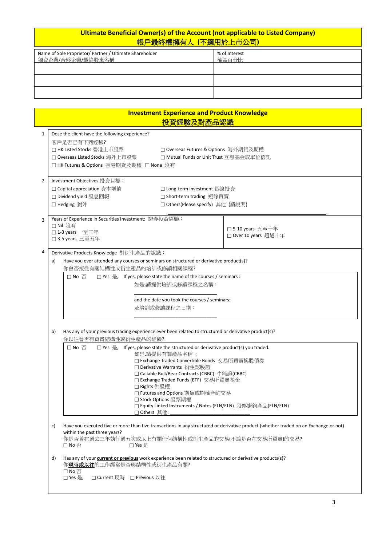### **Ultimate Beneficial Owner(s) of the Account (not applicable to Listed Company)** 帳戶最終權擁有人 **(**不適用於上市公司**)**

| Name of Sole Proprietor/ Partner / Ultimate Shareholder<br>獨資企業/合夥企業/最終股東名稱 | % of Interest<br>權益百分比 |
|-----------------------------------------------------------------------------|------------------------|
|                                                                             |                        |
|                                                                             |                        |
|                                                                             |                        |

|    |                                                                                                           | <b>Investment Experience and Product Knowledge</b>                                |                                                                                                                                      |
|----|-----------------------------------------------------------------------------------------------------------|-----------------------------------------------------------------------------------|--------------------------------------------------------------------------------------------------------------------------------------|
|    |                                                                                                           | <u>投資經驗及對產品認識</u>                                                                 |                                                                                                                                      |
|    | Dose the client have the following experience?                                                            |                                                                                   |                                                                                                                                      |
|    | 客戶是否已有下列經驗?                                                                                               |                                                                                   |                                                                                                                                      |
|    | □ HK Listed Stocks 香港上市股票                                                                                 | □ Overseas Futures & Options 海外期貨及期權                                              |                                                                                                                                      |
|    | □ Overseas Listed Stocks 海外上市股票                                                                           |                                                                                   | □ Mutual Funds or Unit Trust 互惠基金或單位信託                                                                                               |
|    | □ HK Futures & Options 香港期貨及期權 □ None 沒有                                                                  |                                                                                   |                                                                                                                                      |
|    |                                                                                                           |                                                                                   |                                                                                                                                      |
|    | Investment Objectives 投資目標:<br>□ Capital appreciation 資本增值                                                | □ Long-term investment 長線投資                                                       |                                                                                                                                      |
|    | □ Dividend yield 股息回報                                                                                     | □ Short-term trading 短線買賣                                                         |                                                                                                                                      |
|    | □ Hedging 對沖                                                                                              | □ Others(Please specify) 其他 (請說明)                                                 |                                                                                                                                      |
|    |                                                                                                           |                                                                                   |                                                                                                                                      |
|    | Years of Experience in Securities Investment: 證券投資經驗:                                                     |                                                                                   |                                                                                                                                      |
|    | □ Nil 沒有                                                                                                  |                                                                                   | □ 5-10 years 五至十年                                                                                                                    |
|    | $\Box$ 1-3 years 一至三年<br>□ 3-5 years 三至五年                                                                 |                                                                                   | □ Over 10 years 超過十年                                                                                                                 |
|    |                                                                                                           |                                                                                   |                                                                                                                                      |
|    | Derivative Products Knowledge 對衍生產品的認識:                                                                   |                                                                                   |                                                                                                                                      |
| a) | Have you ever attended any courses or seminars on structured or derivative product(s)?                    |                                                                                   |                                                                                                                                      |
|    | 你曾否接受有關結構性或衍生產品的培訓或修讀相關課程?                                                                                |                                                                                   |                                                                                                                                      |
|    | $\square$ No $\overline{\triangle}$                                                                       | □ Yes 是, If yes, please state the name of the courses / seminars :                |                                                                                                                                      |
|    |                                                                                                           | 如是,請提供培訓或修讀課程之名稱:                                                                 |                                                                                                                                      |
|    |                                                                                                           |                                                                                   |                                                                                                                                      |
|    |                                                                                                           | and the date you took the courses / seminars:                                     |                                                                                                                                      |
|    |                                                                                                           |                                                                                   |                                                                                                                                      |
|    |                                                                                                           | 及培訓或修讀課程之日期:                                                                      |                                                                                                                                      |
|    |                                                                                                           |                                                                                   |                                                                                                                                      |
|    |                                                                                                           |                                                                                   |                                                                                                                                      |
| b) | Has any of your previous trading experience ever been related to structured or derivative product(s)?     |                                                                                   |                                                                                                                                      |
|    | 你以往曾否有買賣結構性或衍生產品的經驗?                                                                                      |                                                                                   |                                                                                                                                      |
|    | □ No 否                                                                                                    | □ Yes 是, If yes, please state the structured or derivative product(s) you traded. |                                                                                                                                      |
|    |                                                                                                           | 如是,請提供有關產品名稱:                                                                     |                                                                                                                                      |
|    |                                                                                                           | □ Exchange Traded Convertible Bonds 交易所買賣換股債券                                     |                                                                                                                                      |
|    |                                                                                                           | □ Derivative Warrants 衍生認股證<br>□ Callable Bull/Bear Contracts (CBBC) 牛熊證(CBBC)    |                                                                                                                                      |
|    |                                                                                                           | □ Exchange Traded Funds (ETF) 交易所買賣基金                                             |                                                                                                                                      |
|    |                                                                                                           | □ Rights 供股權                                                                      |                                                                                                                                      |
|    |                                                                                                           | □ Futures and Options 期貨或期權合約交易                                                   |                                                                                                                                      |
|    |                                                                                                           | □ Stock Options 股票期權                                                              |                                                                                                                                      |
|    |                                                                                                           | □ Others 其他:                                                                      | □ Equity Linked Instruments / Notes (ELN/ELN) 股票掛鉤產品(ELN/ELN)                                                                        |
|    |                                                                                                           |                                                                                   |                                                                                                                                      |
| c) |                                                                                                           |                                                                                   | Have you executed five or more than five transactions in any structured or derivative product (whether traded on an Exchange or not) |
|    | within the past three years?                                                                              |                                                                                   |                                                                                                                                      |
|    | $\square$ No $\overline{\triangle}$<br>□ Yes 是                                                            |                                                                                   | 你是否曾在過去三年執行過五次或以上有關任何結構性或衍生產品的交易(不論是否在交易所買賣)的交易?                                                                                     |
|    |                                                                                                           |                                                                                   |                                                                                                                                      |
| d) | Has any of your current or previous work experience been related to structured or derivative products(s)? |                                                                                   |                                                                                                                                      |
|    | 你現時或以往的工作經常是否與結構性或衍生產品有關?                                                                                 |                                                                                   |                                                                                                                                      |
|    | $\Box$ No $\overline{\triangle}$<br>□ Current 現時 □ Previous 以往<br>□ Yes 是,                                |                                                                                   |                                                                                                                                      |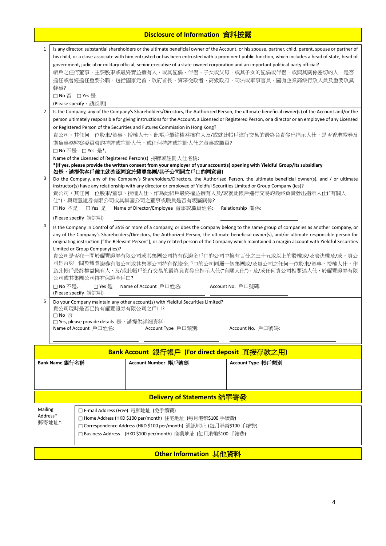## **Disclosure of Information** 資料披露

| $\mathbf{1}$   | Is any director, substantial shareholders or the ultimate beneficial owner of the Account, or his spouse, partner, child, parent, spouse or partner of<br>his child, or a close associate with him entrusted or has been entrusted with a prominent public function, which includes a head of state, head of<br>government, judicial or military official, senior executive of a state-owned corporation and an important political party official?<br>帳戶之任何董事、主要股東或最終實益擁有人,或其配偶、伴侶、子女或父母,或其子女的配偶或伴侶,或與其關係密切的人,是否<br>擔任或曾經擔任重要公職,包括國家元首、政府首長、資深從政者、高級政府、司法或軍事官員、國有企業高級行政人員及重要政黨 |  |  |
|----------------|---------------------------------------------------------------------------------------------------------------------------------------------------------------------------------------------------------------------------------------------------------------------------------------------------------------------------------------------------------------------------------------------------------------------------------------------------------------------------------------------------------------------------------------------------------------------------------|--|--|
|                | 幹事?                                                                                                                                                                                                                                                                                                                                                                                                                                                                                                                                                                             |  |  |
|                | □ No 否 □ Yes 是                                                                                                                                                                                                                                                                                                                                                                                                                                                                                                                                                                  |  |  |
|                | (Please specify, 請說明)                                                                                                                                                                                                                                                                                                                                                                                                                                                                                                                                                           |  |  |
| $\overline{2}$ | Is the Company, any of the Company's Shareholders/Directors, the Authorized Person, the ultimate beneficial owner(s) of the Account and/or the                                                                                                                                                                                                                                                                                                                                                                                                                                  |  |  |
|                | person ultimately responsible for giving instructions for the Account, a Licensed or Registered Person, or a director or an employee of any Licensed                                                                                                                                                                                                                                                                                                                                                                                                                            |  |  |
|                | or Registered Person of the Securities and Futures Commission in Hong Kong?                                                                                                                                                                                                                                                                                                                                                                                                                                                                                                     |  |  |
|                | 貴公司、其任何一位股東/董事、授權人士、此帳戶最終權益擁有人及/或就此帳戶進行交易的最終負責發出指示人仕,是否香港證券及<br>期貨事務監察委員會的持牌或註冊人仕,或任何持牌或註冊人仕之董事或職員?                                                                                                                                                                                                                                                                                                                                                                                                                                                                             |  |  |
|                | □ No 不是 □ Yes 是*,                                                                                                                                                                                                                                                                                                                                                                                                                                                                                                                                                               |  |  |
|                | Name of the Licensed of Registered Person(s) 持牌或註冊人仕名稱:                                                                                                                                                                                                                                                                                                                                                                                                                                                                                                                         |  |  |
|                | *(If yes, please provide the written consent from your employer of your account(s) opening with Yieldful Group/its subsidiary                                                                                                                                                                                                                                                                                                                                                                                                                                                   |  |  |
|                | 如是,請提供客戶僱主就確認同意於耀豐集團/其子公司開立戶口的同意書)                                                                                                                                                                                                                                                                                                                                                                                                                                                                                                                                              |  |  |
| 3              | Do the Company, any of the Company's Shareholders/Directors, the Authorized Person, the ultimate beneficial owner(s), and / or ultimate                                                                                                                                                                                                                                                                                                                                                                                                                                         |  |  |
|                | instructor(s) have any relationship with any director or employee of Yieldful Securities Limited or Group Company (ies)?<br>貴公司,其任何一位股東/董事、授權人仕、作為此帳戶最終權益擁有人及/或就此帳戶進行交易的最終負責發出指示人仕("有關人                                                                                                                                                                                                                                                                                                                                                                                         |  |  |
|                | 仕"),與耀豐證券有限公司或其集團公司之董事或職員是否有親屬關係?                                                                                                                                                                                                                                                                                                                                                                                                                                                                                                                                               |  |  |
|                | □ No 不是<br>□ Yes 是<br>Name of Director/Employee  董事或職員姓名:<br>Relationship 關係:                                                                                                                                                                                                                                                                                                                                                                                                                                                                                                   |  |  |
|                | (Please specify 請註明)                                                                                                                                                                                                                                                                                                                                                                                                                                                                                                                                                            |  |  |
| 4              | Is the Company in Control of 35% or more of a company, or does the Company belong to the same group of companies as another company, or                                                                                                                                                                                                                                                                                                                                                                                                                                         |  |  |
|                | any of the Company's Shareholders/Directors, the Authorized Person, the ultimate beneficial owner(s), and/or ultimate responsible person for                                                                                                                                                                                                                                                                                                                                                                                                                                    |  |  |
|                | originating instruction ("the Relevant Person"), or any related person of the Company which maintained a margin account with Yieldful Securities                                                                                                                                                                                                                                                                                                                                                                                                                                |  |  |
|                | Limited or Group Company(ies)?                                                                                                                                                                                                                                                                                                                                                                                                                                                                                                                                                  |  |  |
|                | 貴公司是否在一間於耀豐證券有限公司或其集團公司持有保證金戶口的公司中擁有百分之三十五或以上的股權或/及表決權及/或,貴公<br>司是否與一間於耀豐證券有限公司或其集團公司持有保證金戶口的公司同屬一個集團或/及貴公司之任何一位股東/董事、授權人仕、作                                                                                                                                                                                                                                                                                                                                                                                                                                                    |  |  |
|                | 為此帳戶最終權益擁有人,及/或此帳戶進行交易的最終負責發出指示人仕("有關人仕"),及/或任何貴公司相關連人仕,於耀豐證券有限                                                                                                                                                                                                                                                                                                                                                                                                                                                                                                                 |  |  |
|                | 公司或其集團公司持有保證金戶口?                                                                                                                                                                                                                                                                                                                                                                                                                                                                                                                                                                |  |  |
|                | Account No. 戶口號碼:<br>□ No 不是,<br>□ Yes 是<br>Name of Account $\rhd$ $\Box$ 姓名:                                                                                                                                                                                                                                                                                                                                                                                                                                                                                                   |  |  |
|                | (Please specify 請註明)                                                                                                                                                                                                                                                                                                                                                                                                                                                                                                                                                            |  |  |
| 5              | Do your Company maintain any other account(s) with Yieldful Securities Limited?                                                                                                                                                                                                                                                                                                                                                                                                                                                                                                 |  |  |
|                | 貴公司現時是否已持有耀豐證券有限公司之戶口?<br>□ No 否                                                                                                                                                                                                                                                                                                                                                                                                                                                                                                                                                |  |  |
|                | □ Yes, please provide details 是,請提供詳細資料:                                                                                                                                                                                                                                                                                                                                                                                                                                                                                                                                        |  |  |
|                | Name of Account 戶口姓名:<br>Account Type 戶口類別:<br>Account No. 戶口號碼:                                                                                                                                                                                                                                                                                                                                                                                                                                                                                                                |  |  |
|                |                                                                                                                                                                                                                                                                                                                                                                                                                                                                                                                                                                                 |  |  |
|                | Bank Account 銀行帳戶 (For direct deposit 直接存款之用)                                                                                                                                                                                                                                                                                                                                                                                                                                                                                                                                   |  |  |
|                | Bank Name 銀行名稱                                                                                                                                                                                                                                                                                                                                                                                                                                                                                                                                                                  |  |  |
|                | Account Number 帳戶號碼<br>Account Type 帳戶類別                                                                                                                                                                                                                                                                                                                                                                                                                                                                                                                                        |  |  |
|                |                                                                                                                                                                                                                                                                                                                                                                                                                                                                                                                                                                                 |  |  |
|                |                                                                                                                                                                                                                                                                                                                                                                                                                                                                                                                                                                                 |  |  |
|                | Delivery of Statements 結單寄發                                                                                                                                                                                                                                                                                                                                                                                                                                                                                                                                                     |  |  |
| Mailing        | □ E-mail Address (Free) 電郵地址 (免手續費)                                                                                                                                                                                                                                                                                                                                                                                                                                                                                                                                             |  |  |
| Address*       | □ Home Address (HKD \$100 per/month) 住宅地址 (每月港幣\$100 手續費)                                                                                                                                                                                                                                                                                                                                                                                                                                                                                                                       |  |  |
|                | 郵寄地址*:<br>□ Correspondence Address (HKD \$100 per/month) 通訊地址 (每月港幣\$100 手續費)                                                                                                                                                                                                                                                                                                                                                                                                                                                                                                   |  |  |

Business Address(HKD \$100 per/month) 商業地址 (每月港幣\$100 手續費)

**Other Information 其他資料**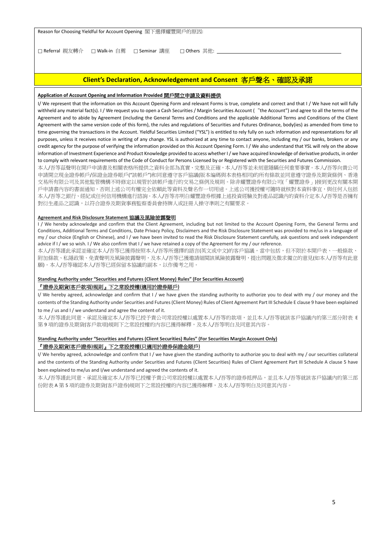Reason for Choosing Yieldful for Account Opening 閣下選擇耀豐開戶的原因:

□ Referral 親友轉介 □ Walk-in 自薦 □ Seminar 講座 □ Others 其他: \_

#### **Client's Declaration, Acknowledgement and Consent** 客戶聲名、確認及承諾

#### **Application of Account Opening and Information Provided** 開戶開立申請及資料提供

I/ We represent that the information on this Account Opening Form and relevant Forms is true, complete and correct and that I / We have not will fully withheld any material fact(s). I / We request you to open a Cash Securities / Margin Securities Account ("the Account") and agree to all the terms of the Agreement and to abide by Agreement (including the General Terms and Conditions and the applicable Additional Terms and Conditions of the Client Agreement with the same version code of this form), the rules and regulations of Securities and Futures Ordinance, body(ies) as amended from time to time governing the transactions in the Account. Yieldful Securities Limited ("YSL") is entitled to rely fully on such information and representations for all purposes, unless it receives notice in writing of any change. YSL is authorized at any time to contact anyone, including my / our banks, brokers or any credit agency for the purpose of verifying the information provided on this Account Opening Form. I / We also understand that YSL will rely on the above information of Investment Experience and Product Knowledge provided to access whether I / we have acquired knowledge of derivative products, in order to comply with relevant requirements of the Code of Conduct for Persons Licensed by or Registered with the Securities and Futures Commission.

本人/吾等茲聲明在開戶申請書及相關表格所提供之資料全部為真實、完整及正確,本人/吾等並未刻意隱瞞任何重要事實。本人/吾等向貴公司 申請開立現金證券帳戶/保證金證券賬戶("該帳戶")和同意遵守客戶協議(版本编碼與本表格相同)的所有條款並同意遵守證券及期貨條例、香港 交易所有限公司及其他監管機構不時修定以規管於該帳戶進行的交易之條例及規則。除非耀豐證券有限公司(「耀豐證券」)接到更改有關本開 戶申請書內容的書面通知,否則上述公司有權完全依賴此等資料及聲名作一切用途。上述公司獲授權可隨時就核對本資料事宜,與任何人包括 本人/吾等之銀行、經紀或任何信用機構進行諮詢。本人/吾等亦明白耀豐證券根據上述投資經驗及對產品認識內的資料介定本人/吾等是否擁有 對衍生產品之認識,以符合證券及期貨事務監察委員會持牌人或註冊人操守準則之有關要求。

#### **Agreement and Risk Disclosure Statement** 協議及風險披露聲明

I / We hereby acknowledge and confirm that the Client Agreement, including but not limited to the Account Opening Form, the General Terms and Conditions, Additional Terms and Conditions, Date Privacy Policy, Disclaimers and the Risk Disclosure Statement was provided to me/us in a language of my / our choice (English or Chinese), and I / we have been invited to read the Risk Disclosure Statement carefully, ask questions and seek independent advice if I / we so wish. I / We also confirm that I / we have retained a copy of the Agreement for my / our reference.

本人/吾等謹此承認並確定本人/吾等已獲得按照本人/吾等所選擇的語言(英文或中文)的客戶協議,當中包括,但不限於本開戶表、一般條款、 附加條款、私隱政策、免責聲明及風險披露聲明,及本人/吾等已獲邀請細閱該風險披露聲明,提出問題及徵求獨立的意見(如本人/吾等有此意 願)。本人/吾等確認本人/吾等已經保留本協議的副本,以作備考之用。

#### **Standing Authority under "Securities and Futures (Client Money) Rules" (For Securities Account)**

#### 『證券及期貨**(**客戶款項**)**規則』下之常設授權**(**適用於證券賬戶**)**

I/ We hereby agreed, acknowledge and confirm that I / we have given the standing authority to authorize you to deal with my / our money and the contents of the Standing Authority under Securities and Futures (Client Money) Rules of Client Agreement Part III Schedule E clause 9 have been explained to me / us and I / we understand and agree the content of it.

本人/吾等謹此同意、承認及確定本人/吾等已授予貴公司常設授權以處置本人/吾等的款項,並且本人/吾等就該客戶協議內的第三部分附表 E 第 9 項的證券及期貨(客戶款項)規則下之常設授權的內容已獲得解釋,及本人/吾等明白及同意其內容。

#### **Standing Authority under "Securities and Futures (Client Securities) Rules" (For Securities Margin Account Only)**

#### 『證券及期貨**(**客戶證券**)**規則』下之常設授權**(**只適用於證券保證金賬戶**)**

I/ We hereby agreed, acknowledge and confirm that I / we have given the standing authority to authorize you to deal with my / our securities collateral and the contents of the Standing Authority under Securities and Futures (Client Securities) Rules of Client Agreement Part III Schedule A clause 5 have been explained to me/us and I/we understand and agreed the contents of it.

本人/吾等謹此同意、承認及確定本人/吾等已授權予貴公司常設授權以處置本人/吾等的證券抵押品,並且本人/吾等就該客戶協議內的第三部 份附表 A 第 5 項的證券及期貨(客戶證券)規則下之常設授權的內容已獲得解釋,及本人/吾等明白及同意其內容。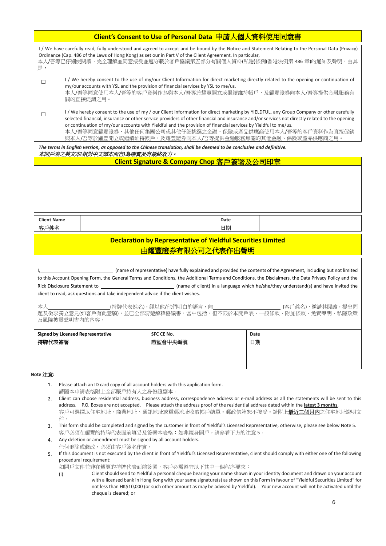| Client's Consent to Use of Personal Data 申請人個人資料使用同意書                                                                                                                                                                                                                                                                                                                                                                                                                                                                         |
|-------------------------------------------------------------------------------------------------------------------------------------------------------------------------------------------------------------------------------------------------------------------------------------------------------------------------------------------------------------------------------------------------------------------------------------------------------------------------------------------------------------------------------|
| I / We have carefully read, fully understood and agreed to accept and be bound by the Notice and Statement Relating to the Personal Data (Privacy)<br>Ordinance (Cap. 486 of the Laws of Hong Kong) as set our in Part V of the Client Agreement. In particular,<br>本人/吾等已仔細使閱讀,完全理解並同意接受並遵守載於客戶協議第五部分有關個人資料(私隱)條例(香港法例第 486 章)的通知及聲明,由其<br>是,                                                                                                                                                                                |
| I / We hereby consent to the use of my/our Client Information for direct marketing directly related to the opening or continuation of<br>my/our accounts with YSL and the provision of financial services by YSL to me/us.<br>本人/吾等同意使用本人/吾等的客戶資料作為與本人/吾等於耀豐開立或繼續維持帳戶,及耀豐證券向本人/吾等提供金融服務有<br>關的直接促銷之用。                                                                                                                                                                                                                         |
| I/We hereby consent to the use of my/our Client Information for direct marketing by YIELDFUL, any Group Company or other carefully<br>selected financial, insurance or other service providers of other financial and insurance and/or services not directly related to the opening<br>or continuation of my/our accounts with Yieldful and the provision of financial services by Yieldful to me/us.<br>本人/吾等同意耀豐證券、其他任何集團公司或其他仔細挑選之金融、保險或產品供應商使用本人/吾等的客戶資料作為直接促銷<br>與本人/吾等於耀豐開立或繼續維持帳戶,及耀豐證券向本人/吾等提供金融服務無關的其他金融、保險或產品供應商之用。 |
| The terms in English version, as annosed to the Chinese translation, shall be deemed to be conclusive and definitive                                                                                                                                                                                                                                                                                                                                                                                                          |

| The terms in English version, as opposed to the Chinese translation, shall be deemed to be conclusive and definitive.<br>本開戶表之英文本【相對中文譯本而言】為確實及有最終效力。 |                                                                                                                     |      |  |  |  |
|-------------------------------------------------------------------------------------------------------------------------------------------------------|---------------------------------------------------------------------------------------------------------------------|------|--|--|--|
|                                                                                                                                                       | Client Signature & Company Chop 客戶簽署及公司印章                                                                           |      |  |  |  |
|                                                                                                                                                       |                                                                                                                     |      |  |  |  |
|                                                                                                                                                       |                                                                                                                     |      |  |  |  |
|                                                                                                                                                       |                                                                                                                     |      |  |  |  |
|                                                                                                                                                       |                                                                                                                     |      |  |  |  |
|                                                                                                                                                       |                                                                                                                     |      |  |  |  |
|                                                                                                                                                       |                                                                                                                     |      |  |  |  |
| <b>Client Name</b>                                                                                                                                    |                                                                                                                     | Date |  |  |  |
| 客戶姓名                                                                                                                                                  |                                                                                                                     | 日期   |  |  |  |
| <b>Declaration by Representative of Yieldful Securities Limited</b>                                                                                   |                                                                                                                     |      |  |  |  |
|                                                                                                                                                       |                                                                                                                     |      |  |  |  |
| 由耀豐證券有限公司之代表作出聲明                                                                                                                                      |                                                                                                                     |      |  |  |  |
|                                                                                                                                                       |                                                                                                                     |      |  |  |  |
|                                                                                                                                                       | (name of representative) have fully explained and provided the contents of the Agreement, including but not limited |      |  |  |  |
| to this Account Opening Form, the General Terms and Conditions, the Additional Terms and Conditions, the Disclaimers, the Data Privacy Policy and the |                                                                                                                     |      |  |  |  |

to this Account Opening Form, the General Terms and Conditions, the Additional Terms and Conditions, the Disclaimers, the Data Privacy Policy and the Rick Disclosure Statement to (name of client) in a language which he/she/they understand(s) and have invited the client to read, ask questions and take independent advice if the client wishes.

本人\_\_\_\_\_\_\_\_\_\_\_\_\_\_\_\_\_\_\_\_\_\_\_\_\_(持牌代表姓名),經以他/他們明白的語言,向\_\_\_\_\_\_\_\_\_\_\_\_\_\_\_\_\_\_\_\_\_\_\_\_\_\_\_\_\_\_(客戶姓名),邀請其閱讀,提出問 題及徵求獨立意見(如客戶有此意願),並已全部清楚解釋協議書,當中包括,但不限於本開戶表、一般條款、附加條款、免責聲明、私隱政策 及風險披露聲明書內的內容。

| <b>Signed by Licensed Representative</b> | <b>SFC CE No.</b> | Date |
|------------------------------------------|-------------------|------|
| 持牌代表簽署                                   | 證監會中央編號           | 日期   |
|                                          |                   |      |
|                                          |                   |      |
|                                          |                   |      |

#### **Note** 注意**:**

- 1. Please attach an ID card copy of all account holders with this application form. 請隨本申請表格附上全部賬戶持有人之身份證副本。
- 2. Client can choose residential address, business address, correspondence address or e-mail address as all the statements will be sent to this address. P.O. Boxes are not accepted. Please attach the address proof of the residential address dated within the **latest 3 months**. 客戶可選擇以住宅地址、商業地址、通訊地址或電郵地址收取帳戶結單。郵政信箱恕不接受。請附上最近三個月內之住宅地址證明文 件。
- 3. This form should be completed and signed by the customer in front of Yieldful's Licensed Representative, otherwise, please see below Note 5. 客戶必須在耀豐的持牌代表面前填妥及簽署本表格;如非親身開戶,請參看下方的注意 5。
- 4. Any deletion or amendment must be signed by all account holders. 任何刪除或修改,必須由客戶簽名作實。
- 5. If this document is not executed by the client in front of Yieldful's Licensed Representative, client should comply with either one of the following procedural requirement:

如開戶文件並非在耀豐的持牌代表面前簽署,客戶必需遵守以下其中一個程序要求:

(i) Client should send to Yieldful a personal cheque bearing your name shown in your identity document and drawn on your account with a licensed bank in Hong Kong with your same signature(s) as shown on this Form in favour of "Yieldful Securities Limited" for not less than HK\$10,000 (or such other amount as may be advised by Yieldful). Your new account will not be activated until the cheque is cleared; or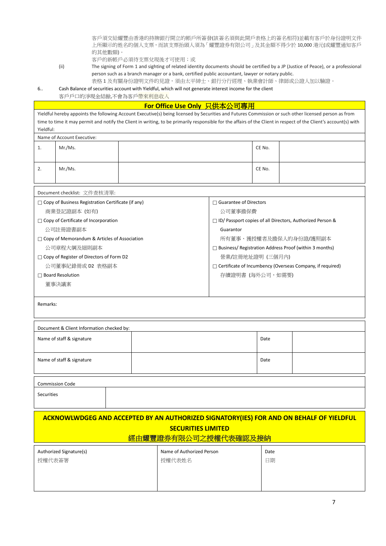客戶須交給耀豐由香港的持牌銀行開立的帳戶所簽發(該簽名須與此開戶表格上的簽名相符)並載有客戶於身份證明文件 上所顯示的姓名的個人支票,而該支票抬頭人須為「耀豐證券有限公司」及其金額不得少於 10,000 港元(或耀豐通知客戶 的其他數額)。

客戶的新帳戶必須待支票兌現後才可使用;或

(ii) The signing of Form 1 and sighting of related identity documents should be certified by a JP (Justice of Peace), or a professional person such as a branch manager or a bank, certified public accountant, lawyer or notary public. 表格 1 及有關身份證明文件的見證,須由太平紳士、銀行分行經理、執業會計師、律師或公證人加以驗證。

6.. Cash Balance of securities account with Yieldful, which will not generate interest income for the client

客戶戶口的淨現金結餘,不會為客戶帶來利息收入

## **For Office Use Only 只供本公司專用**

|                   |                                                           | Yieldful hereby appoints the following Account Executive(s) being licensed by Securities and Futures Commission or such other licensed person as from<br>time to time it may permit and notify the Client in writing, to be primarily responsible for the affairs of the Client in respect of the Client's account(s) with |                                                             |                                                             |  |
|-------------------|-----------------------------------------------------------|----------------------------------------------------------------------------------------------------------------------------------------------------------------------------------------------------------------------------------------------------------------------------------------------------------------------------|-------------------------------------------------------------|-------------------------------------------------------------|--|
| Yieldful:         |                                                           |                                                                                                                                                                                                                                                                                                                            |                                                             |                                                             |  |
|                   | Name of Account Executive:                                |                                                                                                                                                                                                                                                                                                                            |                                                             |                                                             |  |
| 1.                | Mr./Ms.                                                   |                                                                                                                                                                                                                                                                                                                            | CE No.                                                      |                                                             |  |
| 2.                | Mr./Ms.                                                   |                                                                                                                                                                                                                                                                                                                            | CE No.                                                      |                                                             |  |
|                   | Document checklist: 文件查核清單:                               |                                                                                                                                                                                                                                                                                                                            |                                                             |                                                             |  |
|                   | $\Box$ Copy of Business Registration Certificate (if any) | $\Box$ Guarantee of Directors                                                                                                                                                                                                                                                                                              |                                                             |                                                             |  |
|                   | 商業登記證副本 (如有)                                              | 公司董事擔保費                                                                                                                                                                                                                                                                                                                    |                                                             |                                                             |  |
|                   | □ Copy of Certificate of Incorporation                    |                                                                                                                                                                                                                                                                                                                            |                                                             | □ ID/ Passport copies of all Directors, Authorized Person & |  |
|                   | 公司註冊證書副本                                                  | Guarantor                                                                                                                                                                                                                                                                                                                  |                                                             |                                                             |  |
|                   | $\Box$ Copy of Memorandum & Articles of Association       |                                                                                                                                                                                                                                                                                                                            |                                                             | 所有董事、獲授權者及擔保人的身份證/護照副本                                      |  |
|                   | 公司章程大綱及細則副本                                               |                                                                                                                                                                                                                                                                                                                            |                                                             | □ Business/ Registration Address Proof (within 3 months)    |  |
|                   | □ Copy of Register of Directors of Form D2                |                                                                                                                                                                                                                                                                                                                            | 營業/註冊地址證明 (三個月內)                                            |                                                             |  |
|                   | 公司董事紀錄冊或 D2 表格副本                                          |                                                                                                                                                                                                                                                                                                                            | □ Certificate of Incumbency (Overseas Company, if required) |                                                             |  |
|                   | $\Box$ Board Resolution                                   |                                                                                                                                                                                                                                                                                                                            | 存續證明書 (海外公司,如需要)                                            |                                                             |  |
|                   | 董事決議案                                                     |                                                                                                                                                                                                                                                                                                                            |                                                             |                                                             |  |
| Remarks:          |                                                           |                                                                                                                                                                                                                                                                                                                            |                                                             |                                                             |  |
|                   | Document & Client Information checked by:                 |                                                                                                                                                                                                                                                                                                                            |                                                             |                                                             |  |
|                   | Name of staff & signature                                 |                                                                                                                                                                                                                                                                                                                            | Date                                                        |                                                             |  |
|                   | Name of staff & signature                                 |                                                                                                                                                                                                                                                                                                                            | Date                                                        |                                                             |  |
|                   | <b>Commission Code</b>                                    |                                                                                                                                                                                                                                                                                                                            |                                                             |                                                             |  |
| <b>Securities</b> |                                                           |                                                                                                                                                                                                                                                                                                                            |                                                             |                                                             |  |
|                   |                                                           | ACKNOWLWDGEG AND ACCEPTED BY AN AUTHORIZED SIGNATORY(IES) FOR AND ON BEHALF OF YIELDFUL<br><b>SECURITIES LIMITED</b><br>經由耀豐證券有限公司之授權代表確認及接納                                                                                                                                                                               |                                                             |                                                             |  |
|                   |                                                           | Name of Authorized Person                                                                                                                                                                                                                                                                                                  | Date                                                        |                                                             |  |
|                   |                                                           |                                                                                                                                                                                                                                                                                                                            |                                                             |                                                             |  |
|                   | Authorized Signature(s)                                   |                                                                                                                                                                                                                                                                                                                            |                                                             |                                                             |  |
| 授權代表簽署            |                                                           | 授權代表姓名                                                                                                                                                                                                                                                                                                                     | 日期                                                          |                                                             |  |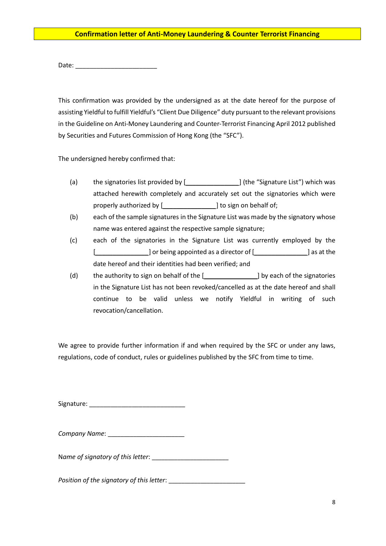#### **Confirmation letter of Anti-Money Laundering & Counter Terrorist Financing**

Date: \_\_\_\_\_\_\_\_\_\_\_\_\_\_\_\_\_\_\_\_\_\_\_

This confirmation was provided by the undersigned as at the date hereof for the purpose of assisting Yieldful to fulfill Yieldful's "Client Due Diligence" duty pursuant to the relevant provisions in the Guideline on Anti-Money Laundering and Counter-Terrorist Financing April 2012 published by Securities and Futures Commission of Hong Kong (the "SFC").

The undersigned hereby confirmed that:

- (a) the signatories list provided by [*\_\_\_\_\_\_\_\_\_\_\_\_\_\_\_*] (the "Signature List") which was attached herewith completely and accurately set out the signatories which were properly authorized by [*left in a left in a left in a left in a left in a left in a left in a left in a left in*
- (b) each of the sample signatures in the Signature List was made by the signatory whose name was entered against the respective sample signature;
- (c) each of the signatories in the Signature List was currently employed by the [*\_\_\_\_\_\_\_\_\_\_\_\_\_\_\_*] or being appointed as a director of [*\_\_\_\_\_\_\_\_\_\_\_\_\_\_\_*] as at the date hereof and their identities had been verified; and
- (d) the authority to sign on behalf of the [*\_\_\_\_\_\_\_\_\_\_\_\_\_\_\_*] by each of the signatories in the Signature List has not been revoked/cancelled as at the date hereof and shall continue to be valid unless we notify Yieldful in writing of such revocation/cancellation.

We agree to provide further information if and when required by the SFC or under any laws. regulations, code of conduct, rules or guidelines published by the SFC from time to time.

Signature: \_\_\_\_\_\_\_\_\_\_\_\_\_\_\_\_\_\_\_\_\_\_\_\_\_\_\_

| Company Name: |  |
|---------------|--|
|---------------|--|

N*ame of signatory of this letter*: \_\_\_\_\_\_\_\_\_\_\_\_\_\_\_\_\_\_\_\_\_\_\_\_

*Position of the signatory of this letter*: \_\_\_\_\_\_\_\_\_\_\_\_\_\_\_\_\_\_\_\_\_\_\_\_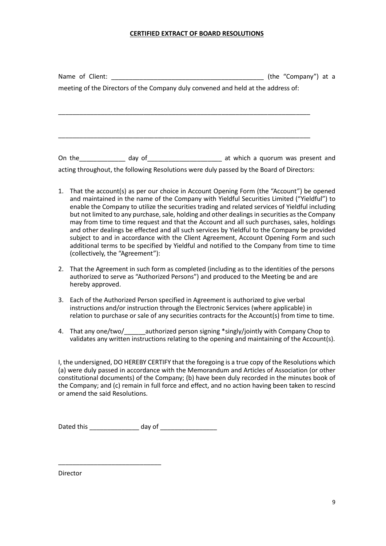#### **CERTIFIED EXTRACT OF BOARD RESOLUTIONS**

|  |                                                                                          | (the "Company") at a |
|--|------------------------------------------------------------------------------------------|----------------------|
|  | meeting of the Directors of the Company duly convened and held at the address of:        |                      |
|  |                                                                                          |                      |
|  |                                                                                          |                      |
|  |                                                                                          |                      |
|  |                                                                                          |                      |
|  |                                                                                          |                      |
|  | On the day of the day of the at which a quorum was present and                           |                      |
|  | acting throughout, the following Resolutions were duly passed by the Board of Directors: |                      |
|  |                                                                                          |                      |

- 1. That the account(s) as per our choice in Account Opening Form (the "Account") be opened and maintained in the name of the Company with Yieldful Securities Limited ("Yieldful") to enable the Company to utilize the securities trading and related services of Yieldful including but not limited to any purchase, sale, holding and other dealings in securities as the Company may from time to time request and that the Account and all such purchases, sales, holdings and other dealings be effected and all such services by Yieldful to the Company be provided subject to and in accordance with the Client Agreement, Account Opening Form and such additional terms to be specified by Yieldful and notified to the Company from time to time (collectively, the "Agreement"):
- 2. That the Agreement in such form as completed (including as to the identities of the persons authorized to serve as "Authorized Persons") and produced to the Meeting be and are hereby approved.
- 3. Each of the Authorized Person specified in Agreement is authorized to give verbal instructions and/or instruction through the Electronic Services (where applicable) in relation to purchase or sale of any securities contracts for the Account(s) from time to time.
- 4. That any one/two/\_\_\_\_\_\_authorized person signing \*singly/jointly with Company Chop to validates any written instructions relating to the opening and maintaining of the Account(s).

I, the undersigned, DO HEREBY CERTIFY that the foregoing is a true copy of the Resolutions which (a) were duly passed in accordance with the Memorandum and Articles of Association (or other constitutional documents) of the Company; (b) have been duly recorded in the minutes book of the Company; and (c) remain in full force and effect, and no action having been taken to rescind or amend the said Resolutions.

| Dated this | dav of |
|------------|--------|
|------------|--------|

\_\_\_\_\_\_\_\_\_\_\_\_\_\_\_\_\_\_\_\_\_\_\_\_\_\_\_\_\_

**Director**